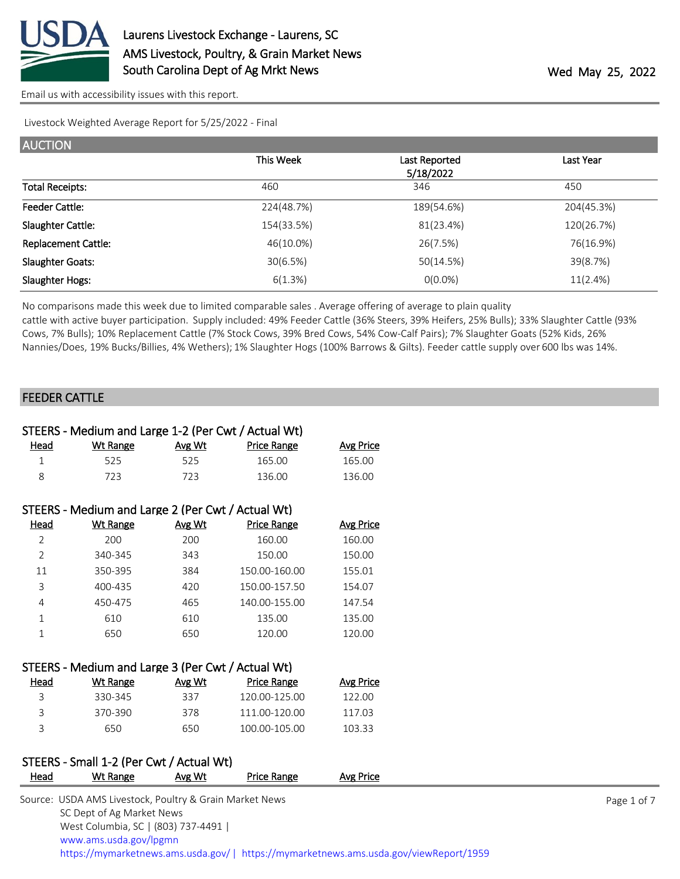

Livestock Weighted Average Report for 5/25/2022 - Final

| <b>AUCTION</b>             |            |               |            |
|----------------------------|------------|---------------|------------|
|                            | This Week  | Last Reported | Last Year  |
|                            |            | 5/18/2022     |            |
| <b>Total Receipts:</b>     | 460        | 346           | 450        |
| <b>Feeder Cattle:</b>      | 224(48.7%) | 189(54.6%)    | 204(45.3%) |
| Slaughter Cattle:          | 154(33.5%) | 81(23.4%)     | 120(26.7%) |
| <b>Replacement Cattle:</b> | 46(10.0%)  | 26(7.5%)      | 76(16.9%)  |
| <b>Slaughter Goats:</b>    | 30(6.5%)   | 50(14.5%)     | 39(8.7%)   |
| Slaughter Hogs:            | 6(1.3%)    | $O(0.0\%)$    | 11(2.4%)   |

No comparisons made this week due to limited comparable sales . Average offering of average to plain quality

cattle with active buyer participation. Supply included: 49% Feeder Cattle (36% Steers, 39% Heifers, 25% Bulls); 33% Slaughter Cattle (93% Cows, 7% Bulls); 10% Replacement Cattle (7% Stock Cows, 39% Bred Cows, 54% Cow-Calf Pairs); 7% Slaughter Goats (52% Kids, 26% Nannies/Does, 19% Bucks/Billies, 4% Wethers); 1% Slaughter Hogs (100% Barrows & Gilts). Feeder cattle supply over 600 lbs was 14%.

#### FEEDER CATTLE

| STEERS - Medium and Large 1-2 (Per Cwt / Actual Wt) |                                                   |        |                    |                  |  |  |  |
|-----------------------------------------------------|---------------------------------------------------|--------|--------------------|------------------|--|--|--|
| Head                                                | <b>Wt Range</b>                                   | Avg Wt | Price Range        | <b>Avg Price</b> |  |  |  |
| $\mathbf{1}$                                        | 525                                               | 525    | 165.00             | 165.00           |  |  |  |
| 8                                                   | 723                                               | 723    | 136.00             | 136.00           |  |  |  |
|                                                     |                                                   |        |                    |                  |  |  |  |
|                                                     | STEERS - Medium and Large 2 (Per Cwt / Actual Wt) |        |                    |                  |  |  |  |
| <u>Head</u>                                         | <b>Wt Range</b>                                   | Avg Wt | <b>Price Range</b> | <b>Avg Price</b> |  |  |  |
| $\overline{2}$                                      | 200                                               | 200    | 160.00             | 160.00           |  |  |  |
| $\overline{2}$                                      | 340-345                                           | 343    | 150.00             | 150.00           |  |  |  |
| 11                                                  | 350-395                                           | 384    | 150.00-160.00      | 155.01           |  |  |  |
| 3                                                   | 400-435                                           | 420    | 150.00-157.50      | 154.07           |  |  |  |
| 4                                                   | 450-475                                           | 465    | 140.00-155.00      | 147.54           |  |  |  |
| $\mathbf{1}$                                        | 610                                               | 610    | 135.00             | 135.00           |  |  |  |
| $\mathbf{1}$                                        | 650                                               | 650    | 120.00             | 120.00           |  |  |  |
|                                                     |                                                   |        |                    |                  |  |  |  |
|                                                     | STEERS - Medium and Large 3 (Per Cwt / Actual Wt) |        |                    |                  |  |  |  |
| Head                                                | <b>Wt Range</b>                                   | Avg Wt | <b>Price Range</b> | <b>Avg Price</b> |  |  |  |
| 3                                                   | 330-345                                           | 337    | 120.00-125.00      | 122.00           |  |  |  |
| 3                                                   | 370-390                                           | 378    | 111.00-120.00      | 117.03           |  |  |  |
| 3                                                   | 650                                               | 650    | 100.00-105.00      | 103.33           |  |  |  |
|                                                     |                                                   |        |                    |                  |  |  |  |

## STEERS - Small 1-2 (Per Cwt / Actual Wt)

| Head | Wt Range                                                | Avg Wt | Price Range | Avg Price                                                                              |             |
|------|---------------------------------------------------------|--------|-------------|----------------------------------------------------------------------------------------|-------------|
|      | Source: USDA AMS Livestock, Poultry & Grain Market News |        |             |                                                                                        | Page 1 of 7 |
|      | SC Dept of Ag Market News                               |        |             |                                                                                        |             |
|      | West Columbia, SC   (803) 737-4491                      |        |             |                                                                                        |             |
|      | www.ams.usda.gov/lpgmn                                  |        |             |                                                                                        |             |
|      |                                                         |        |             | https://mymarketnews.ams.usda.gov/   https://mymarketnews.ams.usda.gov/viewReport/1959 |             |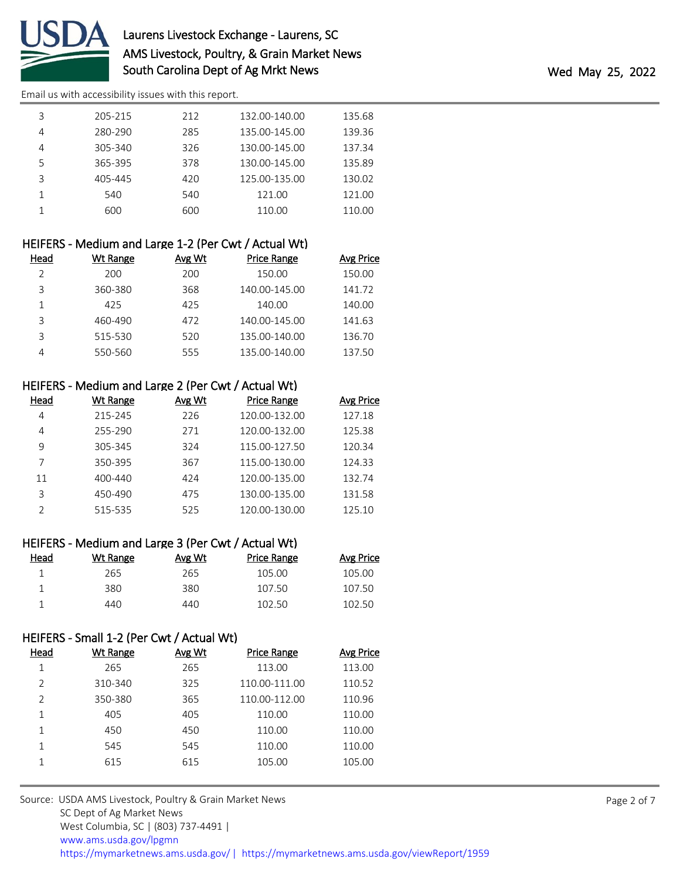

# Laurens Livestock Exchange - Laurens, SC AMS Livestock, Poultry, & Grain Market News South Carolina Dept of Ag Mrkt News **Wed May 25, 2022**

[Email us with accessibility issues with this report.](mailto:mars@ams.usda.gov?subject=508%20issue)

|   | 205-215 | 212 | 132.00-140.00 | 135.68 |
|---|---------|-----|---------------|--------|
|   | 280-290 | 285 | 135.00-145.00 | 139.36 |
|   | 305-340 | 326 | 130.00-145.00 | 137.34 |
| 5 | 365-395 | 378 | 130.00-145.00 | 135.89 |
| 3 | 405-445 | 420 | 125.00-135.00 | 130.02 |
|   | 540     | 540 | 121.00        | 121.00 |
|   | 600     | 600 | 110.00        | 110.00 |

| HEIFERS - Medium and Large 1-2 (Per Cwt / Actual Wt) |          |        |                    |                  |  |  |  |
|------------------------------------------------------|----------|--------|--------------------|------------------|--|--|--|
| Head                                                 | Wt Range | Avg Wt | <b>Price Range</b> | <b>Avg Price</b> |  |  |  |
|                                                      | 200      | 200    | 150.00             | 150.00           |  |  |  |
| 3                                                    | 360-380  | 368    | 140.00-145.00      | 141.72           |  |  |  |
| 1                                                    | 425      | 425    | 140.00             | 140.00           |  |  |  |
| 3                                                    | 460-490  | 472    | 140.00-145.00      | 141.63           |  |  |  |
| 3                                                    | 515-530  | 520    | 135.00-140.00      | 136.70           |  |  |  |
|                                                      | 550-560  | 555    | 135.00-140.00      | 137.50           |  |  |  |

| HEIFERS - Medium and Large 2 (Per Cwt / Actual Wt) |          |               |                    |           |  |  |  |
|----------------------------------------------------|----------|---------------|--------------------|-----------|--|--|--|
| Head                                               | Wt Range | <b>Avg Wt</b> | <b>Price Range</b> | Avg Price |  |  |  |
| 4                                                  | 215-245  | 226           | 120.00-132.00      | 127.18    |  |  |  |
| 4                                                  | 255-290  | 271           | 120.00-132.00      | 125.38    |  |  |  |
| 9                                                  | 305-345  | 324           | 115.00-127.50      | 120.34    |  |  |  |
|                                                    | 350-395  | 367           | 115.00-130.00      | 124.33    |  |  |  |
| 11                                                 | 400-440  | 424           | 120.00-135.00      | 132.74    |  |  |  |
| 3                                                  | 450-490  | 475           | 130.00-135.00      | 131.58    |  |  |  |
|                                                    | 515-535  | 525           | 120.00-130.00      | 125.10    |  |  |  |

| HEIFERS - Medium and Large 3 (Per Cwt / Actual Wt) |  |  |  |  |  |  |  |  |
|----------------------------------------------------|--|--|--|--|--|--|--|--|
|----------------------------------------------------|--|--|--|--|--|--|--|--|

| Head | Wt Range | Avg Wt | <b>Price Range</b> | <b>Avg Price</b> |
|------|----------|--------|--------------------|------------------|
|      | 265      | 265    | 105.00             | 105.00           |
|      | 380      | 380    | 107.50             | 107.50           |
|      | 440      | 440    | 102.50             | 1በ2 5በ           |

## HEIFERS - Small 1-2 (Per Cwt / Actual Wt)

| Head          | <b>Wt Range</b> | Avg Wt | <b>Price Range</b> | <b>Avg Price</b> |
|---------------|-----------------|--------|--------------------|------------------|
|               | 265             | 265    | 113.00             | 113.00           |
| $\mathcal{P}$ | 310-340         | 325    | 110.00-111.00      | 110.52           |
| $\mathcal{P}$ | 350-380         | 365    | 110.00-112.00      | 110.96           |
|               | 405             | 405    | 110.00             | 110.00           |
|               | 450             | 450    | 110.00             | 110.00           |
|               | 545             | 545    | 110.00             | 110.00           |
|               | 615             | 615    | 105.00             | 105.00           |
|               |                 |        |                    |                  |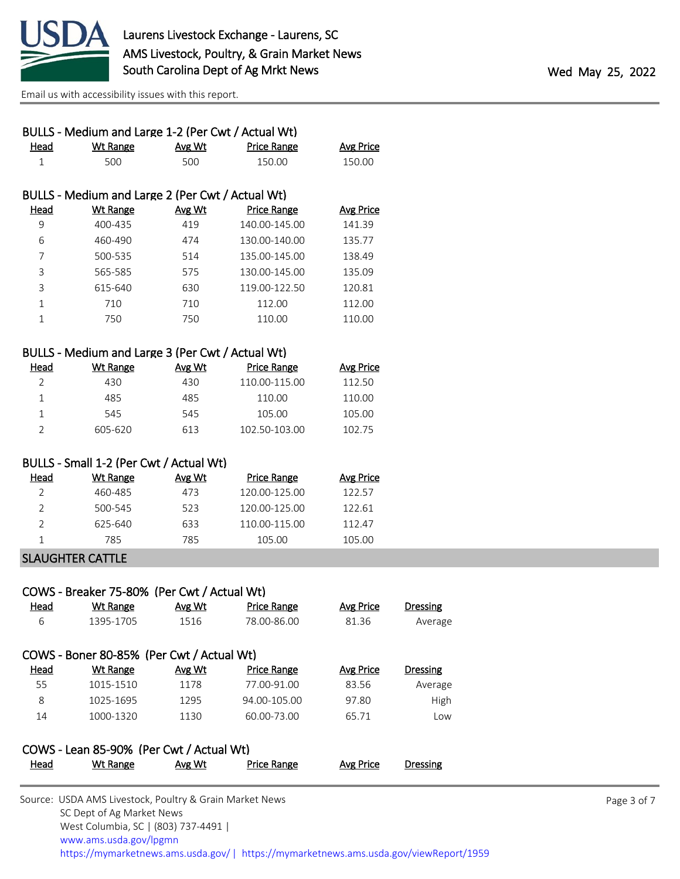

| BULLS - Medium and Large 1-2 (Per Cwt / Actual Wt)<br>Avg Wt<br>500<br>BULLS - Medium and Large 2 (Per Cwt / Actual Wt)<br>Avg Wt<br>419<br>474<br>514<br>575<br>630<br>710<br>750 | <b>Price Range</b><br>150.00<br><b>Price Range</b><br>140.00-145.00<br>130.00-140.00<br>135.00-145.00<br>130.00-145.00<br>119.00-122.50<br>112.00<br>110.00 | <b>Avg Price</b><br>150.00<br><b>Avg Price</b><br>141.39<br>135.77<br>138.49<br>135.09<br>120.81<br>112.00<br>110.00                                         |                           |
|------------------------------------------------------------------------------------------------------------------------------------------------------------------------------------|-------------------------------------------------------------------------------------------------------------------------------------------------------------|--------------------------------------------------------------------------------------------------------------------------------------------------------------|---------------------------|
|                                                                                                                                                                                    |                                                                                                                                                             |                                                                                                                                                              |                           |
|                                                                                                                                                                                    |                                                                                                                                                             |                                                                                                                                                              |                           |
|                                                                                                                                                                                    |                                                                                                                                                             |                                                                                                                                                              |                           |
|                                                                                                                                                                                    |                                                                                                                                                             |                                                                                                                                                              |                           |
|                                                                                                                                                                                    |                                                                                                                                                             |                                                                                                                                                              |                           |
|                                                                                                                                                                                    |                                                                                                                                                             |                                                                                                                                                              |                           |
|                                                                                                                                                                                    |                                                                                                                                                             |                                                                                                                                                              |                           |
|                                                                                                                                                                                    |                                                                                                                                                             |                                                                                                                                                              |                           |
|                                                                                                                                                                                    |                                                                                                                                                             |                                                                                                                                                              |                           |
|                                                                                                                                                                                    |                                                                                                                                                             |                                                                                                                                                              |                           |
|                                                                                                                                                                                    |                                                                                                                                                             |                                                                                                                                                              |                           |
|                                                                                                                                                                                    |                                                                                                                                                             |                                                                                                                                                              |                           |
|                                                                                                                                                                                    | BULLS - Medium and Large 3 (Per Cwt / Actual Wt)                                                                                                            |                                                                                                                                                              |                           |
| Avg Wt                                                                                                                                                                             | <b>Price Range</b>                                                                                                                                          | <b>Avg Price</b>                                                                                                                                             |                           |
| 430                                                                                                                                                                                | 110.00-115.00                                                                                                                                               | 112.50                                                                                                                                                       |                           |
| 485                                                                                                                                                                                | 110.00                                                                                                                                                      | 110.00                                                                                                                                                       |                           |
| 545                                                                                                                                                                                | 105.00                                                                                                                                                      | 105.00                                                                                                                                                       |                           |
| 613                                                                                                                                                                                | 102.50-103.00                                                                                                                                               | 102.75                                                                                                                                                       |                           |
| BULLS - Small 1-2 (Per Cwt / Actual Wt)                                                                                                                                            |                                                                                                                                                             |                                                                                                                                                              |                           |
| Avg Wt                                                                                                                                                                             | Price Range                                                                                                                                                 | <b>Avg Price</b>                                                                                                                                             |                           |
| 473                                                                                                                                                                                | 120.00-125.00                                                                                                                                               | 122.57                                                                                                                                                       |                           |
| 523                                                                                                                                                                                | 120.00-125.00                                                                                                                                               | 122.61                                                                                                                                                       |                           |
| 633                                                                                                                                                                                | 110.00-115.00                                                                                                                                               | 112.47                                                                                                                                                       |                           |
| 785                                                                                                                                                                                | 105.00                                                                                                                                                      | 105.00                                                                                                                                                       |                           |
|                                                                                                                                                                                    |                                                                                                                                                             |                                                                                                                                                              |                           |
|                                                                                                                                                                                    |                                                                                                                                                             |                                                                                                                                                              |                           |
|                                                                                                                                                                                    |                                                                                                                                                             |                                                                                                                                                              |                           |
|                                                                                                                                                                                    |                                                                                                                                                             |                                                                                                                                                              | <b>Dressing</b>           |
|                                                                                                                                                                                    |                                                                                                                                                             |                                                                                                                                                              | Average                   |
|                                                                                                                                                                                    |                                                                                                                                                             |                                                                                                                                                              |                           |
| Avg Wt                                                                                                                                                                             | <b>Price Range</b>                                                                                                                                          | <b>Avg Price</b>                                                                                                                                             | <b>Dressing</b>           |
| 1178                                                                                                                                                                               |                                                                                                                                                             | 83.56                                                                                                                                                        | Average                   |
| 1295                                                                                                                                                                               |                                                                                                                                                             | 97.80                                                                                                                                                        | High                      |
| 1130                                                                                                                                                                               | 60.00-73.00                                                                                                                                                 | 65.71                                                                                                                                                        | Low                       |
|                                                                                                                                                                                    | <b>Avg Wt</b><br>1516                                                                                                                                       | COWS - Breaker 75-80% (Per Cwt / Actual Wt)<br><b>Price Range</b><br>78.00-86.00<br>COWS - Boner 80-85% (Per Cwt / Actual Wt)<br>77.00-91.00<br>94.00-105.00 | <b>Avg Price</b><br>81.36 |

## COWS - Lean 85-90% (Per Cwt / Actual Wt) Head Wt Range Avg Wt Price Range Avg Price Dressing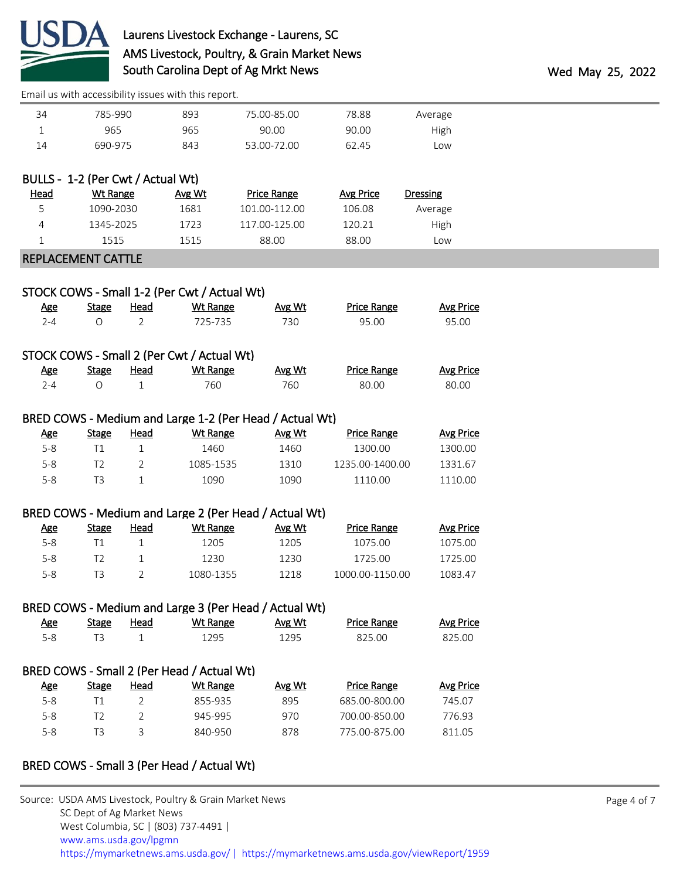

# Laurens Livestock Exchange - Laurens, SC AMS Livestock, Poultry, & Grain Market News South Carolina Dept of Ag Mrkt News **Wed May 25, 2022**

| 34           | 785-990                           |                | 893                                                             | 75.00-85.00                                             | 78.88              | Average          |
|--------------|-----------------------------------|----------------|-----------------------------------------------------------------|---------------------------------------------------------|--------------------|------------------|
| $\mathbf{1}$ | 965                               |                | 965                                                             | 90.00                                                   | 90.00              | High             |
| 14           | 690-975                           |                | 843                                                             | 53.00-72.00                                             | 62.45              | Low              |
|              | BULLS - 1-2 (Per Cwt / Actual Wt) |                |                                                                 |                                                         |                    |                  |
| Head         | <b>Wt Range</b>                   |                | Avg Wt                                                          | Price Range                                             | <b>Avg Price</b>   | <b>Dressing</b>  |
| 5            | 1090-2030                         |                | 1681                                                            | 101.00-112.00                                           | 106.08             | Average          |
| 4            | 1345-2025                         |                | 1723                                                            | 117.00-125.00                                           | 120.21             | High             |
| 1            | 1515                              |                | 1515                                                            | 88.00                                                   | 88.00              | Low              |
|              | <b>REPLACEMENT CATTLE</b>         |                |                                                                 |                                                         |                    |                  |
|              |                                   |                |                                                                 |                                                         |                    |                  |
| <b>Age</b>   | <b>Stage</b>                      | <b>Head</b>    | STOCK COWS - Small 1-2 (Per Cwt / Actual Wt)<br><b>Wt Range</b> | Avg Wt                                                  | <b>Price Range</b> | <b>Avg Price</b> |
| $2 - 4$      | O                                 | $\overline{2}$ | 725-735                                                         | 730                                                     | 95.00              | 95.00            |
|              |                                   |                | STOCK COWS - Small 2 (Per Cwt / Actual Wt)                      |                                                         |                    |                  |
| <b>Age</b>   | <b>Stage</b>                      | <b>Head</b>    | <b>Wt Range</b>                                                 | Avg Wt                                                  | <b>Price Range</b> | <b>Avg Price</b> |
| $2 - 4$      | $\bigcirc$                        | $\mathbf 1$    | 760                                                             | 760                                                     | 80.00              | 80.00            |
|              |                                   |                |                                                                 | BRED COWS - Medium and Large 1-2 (Per Head / Actual Wt) |                    |                  |
|              |                                   |                |                                                                 |                                                         |                    |                  |
| <b>Age</b>   | <b>Stage</b>                      | <b>Head</b>    | <b>Wt Range</b>                                                 | Avg Wt                                                  | <b>Price Range</b> | <b>Avg Price</b> |
| $5-8$        | T1                                | $\mathbf 1$    | 1460                                                            | 1460                                                    | 1300.00            | 1300.00          |
| $5 - 8$      | T <sub>2</sub>                    | 2              | 1085-1535                                                       | 1310                                                    | 1235.00-1400.00    | 1331.67          |
| $5 - 8$      | T <sub>3</sub>                    | $\mathbf{1}$   | 1090                                                            | 1090                                                    | 1110.00            | 1110.00          |
|              |                                   |                |                                                                 | BRED COWS - Medium and Large 2 (Per Head / Actual Wt)   |                    |                  |
| <b>Age</b>   | <b>Stage</b>                      | <b>Head</b>    | <b>Wt Range</b>                                                 | Avg Wt                                                  | <b>Price Range</b> | <b>Avg Price</b> |
| $5-8$        | T1                                | 1              | 1205                                                            | 1205                                                    | 1075.00            | 1075.00          |
| $5 - 8$      | T <sub>2</sub>                    | 1              | 1230                                                            | 1230                                                    | 1725.00            | 1725.00          |
| $5 - 8$      | T <sub>3</sub>                    | 2              | 1080-1355                                                       | 1218                                                    | 1000.00-1150.00    | 1083.47          |
|              |                                   |                |                                                                 | BRED COWS - Medium and Large 3 (Per Head / Actual Wt)   |                    |                  |
| <b>Age</b>   | <b>Stage</b>                      | <b>Head</b>    | <b>Wt Range</b>                                                 | Avg Wt                                                  | <b>Price Range</b> | Avg Price        |
| $5 - 8$      | T <sub>3</sub>                    | $\mathbf{1}$   | 1295                                                            | 1295                                                    | 825.00             | 825.00           |
|              |                                   |                | BRED COWS - Small 2 (Per Head / Actual Wt)                      |                                                         |                    |                  |
| <u>Age</u>   | <b>Stage</b>                      | <b>Head</b>    | <b>Wt Range</b>                                                 | Avg Wt                                                  | <b>Price Range</b> | <b>Avg Price</b> |
| $5-8$        | T1                                | $\overline{2}$ | 855-935                                                         | 895                                                     | 685.00-800.00      | 745.07           |
| $5-8$        | T <sub>2</sub>                    | $\overline{2}$ | 945-995                                                         | 970                                                     | 700.00-850.00      | 776.93           |

## BRED COWS - Small 3 (Per Head / Actual Wt)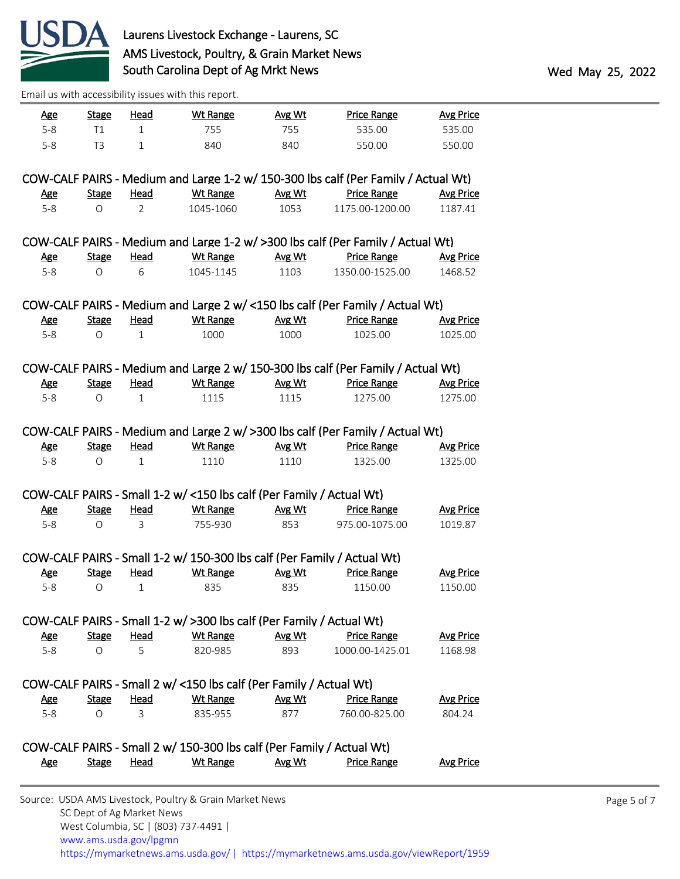

| <u>Age</u> | <b>Stage</b> | <u>Head</u> | <b>Wt Range</b> | <u>Avg Wt</u> | <b>Price Range</b> | <b>Avg Price</b> |
|------------|--------------|-------------|-----------------|---------------|--------------------|------------------|
| $5 - 8$    |              |             | 755             | 755           | 535.00             | 535.00           |
| $5 - 8$    | T3           |             | 840             | 840           | 550.00             | 550.00           |

|     |                  |      |           |        | COW-CALF PAIRS - Medium and Large 1-2 w/ 150-300 lbs calf (Per Family / Actual Wt) |           |
|-----|------------------|------|-----------|--------|------------------------------------------------------------------------------------|-----------|
| Age | Stage            | Head | Wt Range  | Avg Wt | Price Range                                                                        | Avg Price |
| 5-8 | $\left( \right)$ |      | 1045-1060 | 1053   | 1175.00-1200.00                                                                    | 1187.41   |

|     |              |              |           |        | COW-CALF PAIRS - Medium and Large 1-2 w/ >300 lbs calf (Per Family / Actual Wt) |           |
|-----|--------------|--------------|-----------|--------|---------------------------------------------------------------------------------|-----------|
| Age | <b>Stage</b> | Head         | Wt Range  | Avg Wt | <b>Price Range</b>                                                              | Avg Price |
| 5-8 |              | <sub>6</sub> | 1045-1145 | 1103   | 1350.00-1525.00                                                                 | 1468.52   |

|     |       |      |          |        | COW-CALF PAIRS - Medium and Large 2 w/ <150 lbs calf (Per Family / Actual Wt) |                  |
|-----|-------|------|----------|--------|-------------------------------------------------------------------------------|------------------|
| Age | Stage | Head | Wt Range | Avg Wt | Price Range                                                                   | <b>Avg Price</b> |
| 5-8 |       |      | 1000     | 1000   | 1025.00                                                                       | 1025.00          |

|     |       |      |          |        | COW-CALF PAIRS - Medium and Large 2 w/ 150-300 lbs calf (Per Family / Actual Wt) |                  |
|-----|-------|------|----------|--------|----------------------------------------------------------------------------------|------------------|
| Age | Stage | Head | Wt Range | Avg Wt | <b>Price Range</b>                                                               | <b>Avg Price</b> |
| 5-8 |       |      | 1115     | 1115   | 1275.00                                                                          | 1275.00          |

## COW-CALF PAIRS - Medium and Large 2 w/ >300 lbs calf (Per Family / Actual Wt)

| <u>Age</u> | Stage | Head | Wt Range | Avg Wt | <b>Price Range</b> | Avg Price |
|------------|-------|------|----------|--------|--------------------|-----------|
|            |       |      |          |        | 1325.00            | 1325.00   |

### COW-CALF PAIRS - Small 1-2 w/ <150 lbs calf (Per Family / Actual Wt)

| <u>Age</u> | Stage | Head | Wt Range                                                                | Avg Wt | <b>Price Range</b> | <b>Avg Price</b> |
|------------|-------|------|-------------------------------------------------------------------------|--------|--------------------|------------------|
| $5-8$      | Ω     |      | 755-930                                                                 | 853    | 975.00-1075.00     | 1019.87          |
|            |       |      |                                                                         |        |                    |                  |
|            |       |      | COW-CALF PAIRS - Small 1-2 w/ 150-300 lbs calf (Per Family / Actual Wt) |        |                    |                  |
| Age        | Stage | Head | Wt Range                                                                | Avg Wt | <b>Price Range</b> | <b>Avg Price</b> |
| $5 - 8$    |       |      | 835                                                                     | 835    | 1150.00            | 1150.00          |

#### COW-CALF PAIRS - Small 1-2 w/ >300 lbs calf (Per Family / Actual Wt) Age Stage Head Wt Range Avg Wt Price Range Avg Price 5-8 O 5 820-985 893 1000.00-1425.01 1168.98

|     |       |      | COW-CALF PAIRS - Small 2 w/ <150 lbs calf (Per Family / Actual Wt) |        |                    |                  |
|-----|-------|------|--------------------------------------------------------------------|--------|--------------------|------------------|
| Age | Stage | Head | Wt Range                                                           | Avg Wt | <b>Price Range</b> | <b>Avg Price</b> |
| 5-8 |       |      | 835-955                                                            | 877    | 760.00-825.00      | 804.24           |

|     |       |      | COW-CALF PAIRS - Small 2 w/ 150-300 lbs calf (Per Family / Actual Wt) |        |                    |                  |
|-----|-------|------|-----------------------------------------------------------------------|--------|--------------------|------------------|
| Age | Stage | Head | <u>Wt Range</u>                                                       | Avg Wt | <b>Price Range</b> | <b>Avg Price</b> |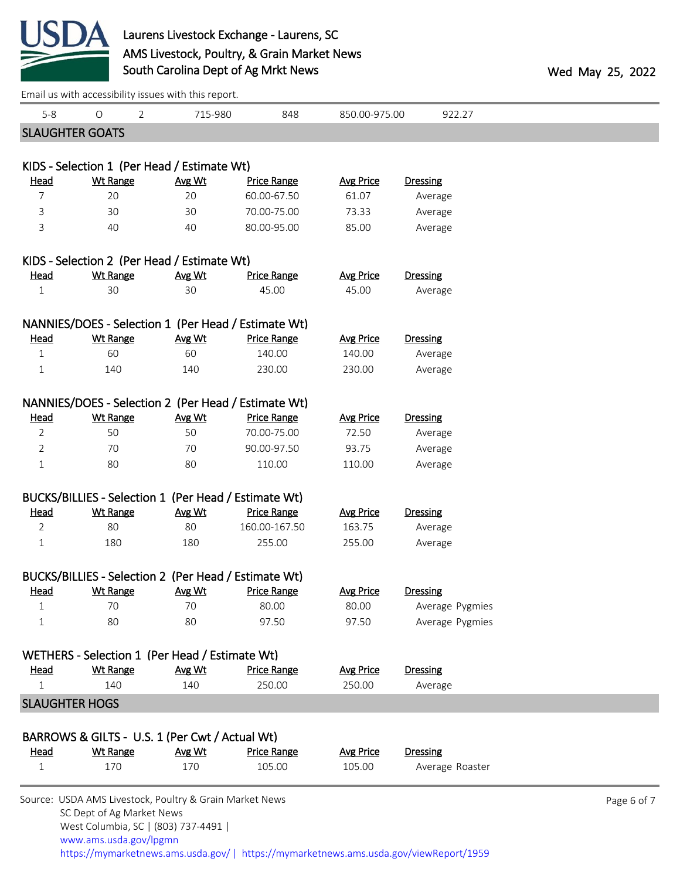

## Laurens Livestock Exchange - Laurens, SC AMS Livestock, Poultry, & Grain Market News South Carolina Dept of Ag Mrkt News **Wed May 25, 2022**

|                | Email us with accessibility issues with this report.                                 |         |                    |                  |                 |             |
|----------------|--------------------------------------------------------------------------------------|---------|--------------------|------------------|-----------------|-------------|
| $5 - 8$        | $\bigcirc$<br>$\overline{2}$                                                         | 715-980 | 848                | 850.00-975.00    | 922.27          |             |
|                | <b>SLAUGHTER GOATS</b>                                                               |         |                    |                  |                 |             |
|                |                                                                                      |         |                    |                  |                 |             |
|                | KIDS - Selection 1 (Per Head / Estimate Wt)                                          |         |                    |                  |                 |             |
| <b>Head</b>    | <b>Wt Range</b>                                                                      | Avg Wt  | <b>Price Range</b> | <b>Avg Price</b> | <b>Dressing</b> |             |
| 7              | 20                                                                                   | 20      | 60.00-67.50        | 61.07            | Average         |             |
| 3              | 30                                                                                   | 30      | 70.00-75.00        | 73.33            | Average         |             |
| 3              | 40                                                                                   | 40      | 80.00-95.00        | 85.00            | Average         |             |
|                | KIDS - Selection 2 (Per Head / Estimate Wt)                                          |         |                    |                  |                 |             |
| <b>Head</b>    | <b>Wt Range</b>                                                                      | Avg Wt  | <b>Price Range</b> | <b>Avg Price</b> | <b>Dressing</b> |             |
| $\mathbf 1$    | 30                                                                                   | 30      | 45.00              | 45.00            | Average         |             |
|                | NANNIES/DOES - Selection 1 (Per Head / Estimate Wt)                                  |         |                    |                  |                 |             |
| <b>Head</b>    | <b>Wt Range</b>                                                                      | Avg Wt  | <b>Price Range</b> | <b>Avg Price</b> | <b>Dressing</b> |             |
| 1              | 60                                                                                   | 60      | 140.00             | 140.00           | Average         |             |
| $\mathbf 1$    | 140                                                                                  | 140     | 230.00             | 230.00           | Average         |             |
|                |                                                                                      |         |                    |                  |                 |             |
|                | NANNIES/DOES - Selection 2 (Per Head / Estimate Wt)                                  |         |                    |                  |                 |             |
| <u>Head</u>    | <b>Wt Range</b>                                                                      | Avg Wt  | <b>Price Range</b> | <b>Avg Price</b> | <b>Dressing</b> |             |
| $\overline{2}$ | 50                                                                                   | 50      | 70.00-75.00        | 72.50            | Average         |             |
| 2              | 70                                                                                   | 70      | 90.00-97.50        | 93.75            | Average         |             |
| $\mathbf 1$    | 80                                                                                   | 80      | 110.00             | 110.00           | Average         |             |
|                | BUCKS/BILLIES - Selection 1 (Per Head / Estimate Wt)                                 |         |                    |                  |                 |             |
| <b>Head</b>    | <b>Wt Range</b>                                                                      | Avg Wt  | <b>Price Range</b> | <b>Avg Price</b> | <b>Dressing</b> |             |
| $\overline{2}$ | 80                                                                                   | 80      | 160.00-167.50      | 163.75           | Average         |             |
| $\mathbf 1$    | 180                                                                                  | 180     | 255.00             | 255.00           | Average         |             |
|                | BUCKS/BILLIES - Selection 2 (Per Head / Estimate Wt)                                 |         |                    |                  |                 |             |
| <u>Head</u>    | <b>Wt Range</b>                                                                      | Avg Wt  | <b>Price Range</b> | <b>Avg Price</b> | <b>Dressing</b> |             |
| $\mathbf{1}$   | 70                                                                                   | 70      | 80.00              | 80.00            | Average Pygmies |             |
| 1              | 80                                                                                   | 80      | 97.50              | 97.50            | Average Pygmies |             |
|                |                                                                                      |         |                    |                  |                 |             |
|                | WETHERS - Selection 1 (Per Head / Estimate Wt)                                       |         |                    |                  |                 |             |
| <u>Head</u>    | <b>Wt Range</b>                                                                      | Avg Wt  | <b>Price Range</b> | <b>Avg Price</b> | <b>Dressing</b> |             |
| $\mathbf 1$    | 140                                                                                  | 140     | 250.00             | 250.00           | Average         |             |
|                | <b>SLAUGHTER HOGS</b>                                                                |         |                    |                  |                 |             |
|                | BARROWS & GILTS - U.S. 1 (Per Cwt / Actual Wt)                                       |         |                    |                  |                 |             |
| <u>Head</u>    | <b>Wt Range</b>                                                                      | Avg Wt  | <b>Price Range</b> | <b>Avg Price</b> | <b>Dressing</b> |             |
| $\mathbf 1$    | 170                                                                                  | 170     | 105.00             | 105.00           | Average Roaster |             |
|                |                                                                                      |         |                    |                  |                 |             |
|                | Source: USDA AMS Livestock, Poultry & Grain Market News<br>SC Dept of Ag Market News |         |                    |                  |                 | Page 6 of 7 |
|                | West Columbia, SC   (803) 737-4491                                                   |         |                    |                  |                 |             |

 [www.ams.usda.gov/lpgmn](https://www.ams.usda.gov/market-news) <https://mymarketnews.ams.usda.gov/> [|](https://www.ams.usda.gov/market-news) <https://mymarketnews.ams.usda.gov/viewReport/1959>